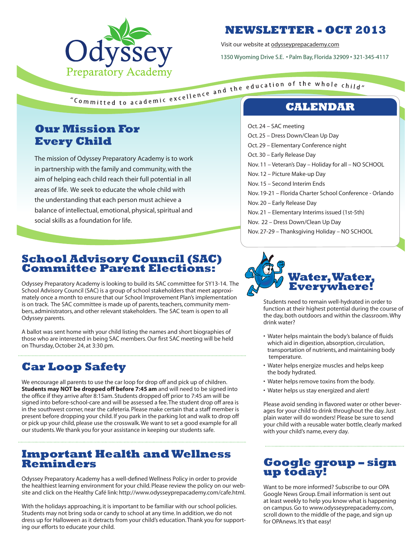

# **NEWSLETTER - OCT 2013**

Visit our website at odysseyprepacademy.com

1350 Wyoming Drive S.E. • Palm Bay, Florida 32909 • 321-345-4117

"Committed to academic excellence and the education of the whole child"

# **Our Mission For Every Child**

The mission of Odyssey Preparatory Academy is to work in partnership with the family and community, with the aim of helping each child reach their full potential in all areas of life. We seek to educate the whole child with the understanding that each person must achieve a balance of intellectual, emotional, physical, spiritual and social skills as a foundation for life.

### **School Advisory Council (SAC) Committee Parent Elections:**

Odyssey Preparatory Academy is looking to build its SAC committee for SY13-14. The School Advisory Council (SAC) is a group of school stakeholders that meet approximately once a month to ensure that our School Improvement Plan's implementation is on track. The SAC committee is made up of parents, teachers, community members, administrators, and other relevant stakeholders. The SAC team is open to all Odyssey parents.

A ballot was sent home with your child listing the names and short biographies of those who are interested in being SAC members. Our first SAC meeting will be held on Thursday, October 24, at 3:30 pm.

# **Car Loop Safety**

We encourage all parents to use the car loop for drop off and pick up of children. **Students may NOT be dropped off before 7:45 am** and will need to be signed into the office if they arrive after 8:15am. Students dropped off prior to 7:45 am will be signed into before-school-care and will be assessed a fee. The student drop off area is in the southwest corner, near the cafeteria. Please make certain that a staff member is present before dropping your child. If you park in the parking lot and walk to drop off or pick up your child, please use the crosswalk. We want to set a good example for all our students. We thank you for your assistance in keeping our students safe.

### **Important Health and Wellness Reminders**

Odyssey Preparatory Academy has a well-defined Wellness Policy in order to provide the healthiest learning environment for your child. Please review the policy on our website and click on the Healthy Café link: http://www.odysseyprepacademy.com/cafe.html.

With the holidays approaching, it is important to be familiar with our school policies. Students may not bring soda or candy to school at any time. In addition, we do not dress up for Halloween as it detracts from your child's education. Thank you for supporting our efforts to educate your child.

- Oct. 24 SAC meeting
- Oct. 25 Dress Down/Clean Up Day
- Oct. 29 Elementary Conference night
- Oct. 30 Early Release Day
- Nov. 11 Veteran's Day Holiday for all NO SCHOOL
- Nov. 12 Picture Make-up Day
- Nov. 15 Second Interim Ends
- Nov. 19-21 Florida Charter School Conference Orlando
- Nov. 20 Early Release Day
- Nov. 21 Elementary Interims issued (1st-5th)
- Nov. 22 Dress Down/Clean Up Day
- Nov. 27-29 Thanksgiving Holiday NO SCHOOL



Students need to remain well-hydrated in order to function at their highest potential during the course of the day, both outdoors and within the classroom. Why drink water?

- Water helps maintain the body's balance of fluids which aid in digestion, absorption, circulation, transportation of nutrients, and maintaining body temperature.
- Water helps energize muscles and helps keep the body hydrated.
- Water helps remove toxins from the body.
- Water helps us stay energized and alert!

Please avoid sending in flavored water or other beverages for your child to drink throughout the day. Just plain water will do wonders! Please be sure to send your child with a reusable water bottle, clearly marked with your child's name, every day.

# **Google group – sign up today!**

Want to be more informed? Subscribe to our OPA Google News Group. Email information is sent out at least weekly to help you know what is happening on campus. Go to www.odysseyprepacademy.com, scroll down to the middle of the page, and sign up for OPAnews. It's that easy!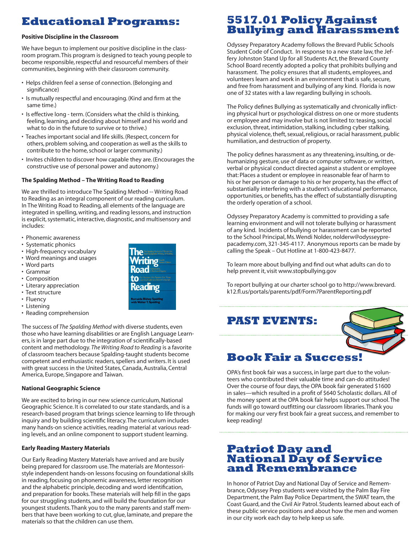# **Educational Programs:**

### **Positive Discipline in the Classroom**

We have begun to implement our positive discipline in the classroom program. This program is designed to teach young people to become responsible, respectful and resourceful members of their communities, beginning with their classroom community.

- Helps children feel a sense of connection. (Belonging and significance)
- Is mutually respectful and encouraging. (Kind and firm at the same time.)
- Is effective long term. (Considers what the child is thinking, feeling, learning, and deciding about himself and his world and what to do in the future to survive or to thrive.)
- Teaches important social and life skills. (Respect, concern for others, problem solving, and cooperation as well as the skills to contribute to the home, school or larger community.)
- Invites children to discover how capable they are. (Encourages the constructive use of personal power and autonomy.)

#### **The Spalding Method – The Writing Road to Reading**

We are thrilled to introduce The Spalding Method -- Writing Road to Reading as an integral component of our reading curriculum. In The Writing Road to Reading, all elements of the language are integrated in spelling, writing, and reading lessons, and instruction is explicit, systematic, interactive, diagnostic, and multisensory and includes:

- Phonemic awareness
- Systematic phonics
- High-frequency vocabulary
- Word meanings and usages
- Word parts
- Grammar
- Composition
- Literary appreciation
- Text structure
- Fluency
- Listening • Reading comprehension

The success of *The Spalding Method* with diverse students, even those who have learning disabilities or are English Language Learners, is in large part due to the integration of scientifically-based content and methodology. *The Writing Road to Reading* is a favorite of classroom teachers because Spalding-taught students become competent and enthusiastic readers, spellers and writers. It is used with great success in the United States, Canada, Australia, Central America, Europe, Singapore and Taiwan.

#### **National Geographic Science**

We are excited to bring in our new science curriculum, National Geographic Science. It is correlated to our state standards, and is a research-based program that brings science learning to life through inquiry and by building scientific literacy. The curriculum includes many hands-on science activities, reading material at various reading levels, and an online component to support student learning.

### **Early Reading Mastery Materials**

Our Early Reading Mastery Materials have arrived and are busily being prepared for classroom use. The materials are Montessoristyle independent hands-on lessons focusing on foundational skills in reading, focusing on phonemic awareness, letter recognition and the alphabetic principle, decoding and word identification, and preparation for books. These materials will help fill in the gaps for our struggling students, and will build the foundation for our youngest students. Thank you to the many parents and staff members that have been working to cut, glue, laminate, and prepare the materials so that the children can use them.



# **5517.01 Policy Against Bullying and Harassment**

Odyssey Preparatory Academy follows the Brevard Public Schools Student Code of Conduct. In response to a new state law, the Jeffery Johnston Stand Up for all Students Act, the Brevard County School Board recently adopted a policy that prohibits bullying and harassment. The policy ensures that all students, employees, and volunteers learn and work in an environment that is safe, secure, and free from harassment and bullying of any kind. Florida is now one of 32 states with a law regarding bullying in schools.

The Policy defines Bullying as systematically and chronically inflicting physical hurt or psychological distress on one or more students or employee and may involve but is not limited to: teasing, social exclusion, threat, intimidation, stalking, including cyber stalking, physical violence, theft, sexual, religious, or racial harassment, public humiliation, and destruction of property.

The policy defines harassment as any threatening, insulting, or dehumanizing gesture, use of data or computer software, or written, verbal or physical conduct directed against a student or employee that: Places a student or employee in reasonable fear of harm to his or her person or damage to his or her property, has the effect of substantially interfering with a student's educational performance, opportunities, or benefits, has the effect of substantially disrupting the orderly operation of a school.

Odyssey Preparatory Academy is committed to providing a safe learning environment and will not tolerate bullying or harassment of any kind. Incidents of bullying or harassment can be reported to the School Principal, Ms. Wendi Nolder, nolderw@odysseyprepacademy.com, 321-345-4117. Anonymous reports can be made by calling the Speak – Out Hotline at 1-800-423-8477.

To learn more about bullying and find out what adults can do to help prevent it, visit www.stopbullying.gov

To report bullying at our charter school go to http://www.brevard. k12.fl.us/portals/parents/pdf/Form7ParentReporting.pdf

**PAST EVENTS:**



# **Book Fair a Success!**

OPA's first book fair was a success, in large part due to the volunteers who contributed their valuable time and can-do attitudes! Over the course of four days, the OPA book fair generated \$1600 in sales—which resulted in a profit of \$640 Scholastic dollars. All of the money spent at the OPA book fair helps support our school. The funds will go toward outfitting our classroom libraries. Thank you for making our very first book fair a great success, and remember to keep reading!

### **Patriot Day and National Day of Service and Remembrance**

In honor of Patriot Day and National Day of Service and Remembrance, Odyssey Prep students were visited by the Palm Bay Fire Department, the Palm Bay Police Department, the SWAT team, the Coast Guard, and the Civil Air Patrol. Students learned about each of these public service positions and about how the men and women in our city work each day to help keep us safe.